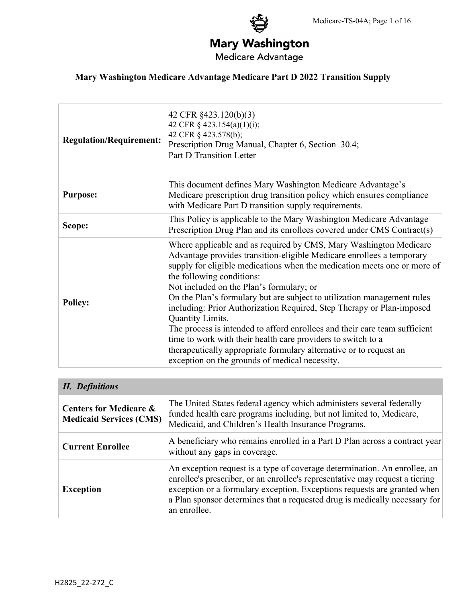# **Mary Washington**

Medicare Advantage

## **Mary Washington Medicare Advantage Medicare Part D 2022 Transition Supply**

| <b>Regulation/Requirement:</b> | 42 CFR §423.120(b)(3)<br>42 CFR § 423.154(a)(1)(i);<br>42 CFR § 423.578(b);<br>Prescription Drug Manual, Chapter 6, Section 30.4;<br><b>Part D Transition Letter</b>                                                                                                                                                                                                                                                                                                                                                                                                                                                                                                                                                                          |
|--------------------------------|-----------------------------------------------------------------------------------------------------------------------------------------------------------------------------------------------------------------------------------------------------------------------------------------------------------------------------------------------------------------------------------------------------------------------------------------------------------------------------------------------------------------------------------------------------------------------------------------------------------------------------------------------------------------------------------------------------------------------------------------------|
| <b>Purpose:</b>                | This document defines Mary Washington Medicare Advantage's<br>Medicare prescription drug transition policy which ensures compliance<br>with Medicare Part D transition supply requirements.                                                                                                                                                                                                                                                                                                                                                                                                                                                                                                                                                   |
| Scope:                         | This Policy is applicable to the Mary Washington Medicare Advantage<br>Prescription Drug Plan and its enrollees covered under CMS Contract(s)                                                                                                                                                                                                                                                                                                                                                                                                                                                                                                                                                                                                 |
| <b>Policy:</b>                 | Where applicable and as required by CMS, Mary Washington Medicare<br>Advantage provides transition-eligible Medicare enrollees a temporary<br>supply for eligible medications when the medication meets one or more of<br>the following conditions:<br>Not included on the Plan's formulary; or<br>On the Plan's formulary but are subject to utilization management rules<br>including: Prior Authorization Required, Step Therapy or Plan-imposed<br>Quantity Limits.<br>The process is intended to afford enrollees and their care team sufficient<br>time to work with their health care providers to switch to a<br>therapeutically appropriate formulary alternative or to request an<br>exception on the grounds of medical necessity. |

| <b>II.</b> Definitions                                              |                                                                                                                                                                                                                                                                                                                                     |  |
|---------------------------------------------------------------------|-------------------------------------------------------------------------------------------------------------------------------------------------------------------------------------------------------------------------------------------------------------------------------------------------------------------------------------|--|
| <b>Centers for Medicare &amp;</b><br><b>Medicaid Services (CMS)</b> | The United States federal agency which administers several federally<br>funded health care programs including, but not limited to, Medicare,<br>Medicaid, and Children's Health Insurance Programs.                                                                                                                                 |  |
| <b>Current Enrollee</b>                                             | A beneficiary who remains enrolled in a Part D Plan across a contract year<br>without any gaps in coverage.                                                                                                                                                                                                                         |  |
| <b>Exception</b>                                                    | An exception request is a type of coverage determination. An enrollee, an<br>enrollee's prescriber, or an enrollee's representative may request a tiering<br>exception or a formulary exception. Exceptions requests are granted when<br>a Plan sponsor determines that a requested drug is medically necessary for<br>an enrollee. |  |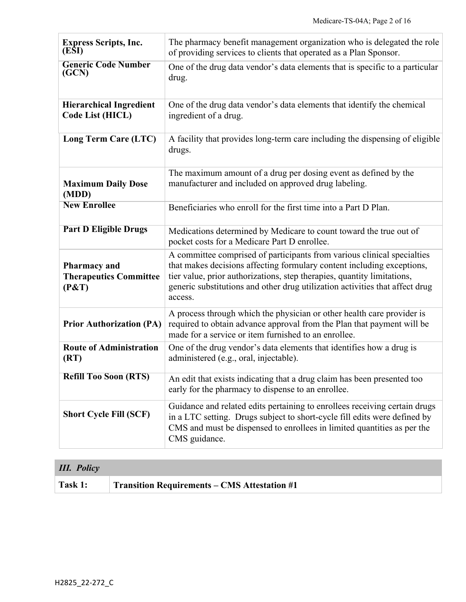| <b>Express Scripts, Inc.</b><br>(ESI)                         | The pharmacy benefit management organization who is delegated the role<br>of providing services to clients that operated as a Plan Sponsor.                                                                                                                                                                             |
|---------------------------------------------------------------|-------------------------------------------------------------------------------------------------------------------------------------------------------------------------------------------------------------------------------------------------------------------------------------------------------------------------|
| <b>Generic Code Number</b><br>(GCN)                           | One of the drug data vendor's data elements that is specific to a particular<br>drug.                                                                                                                                                                                                                                   |
| <b>Hierarchical Ingredient</b><br>Code List (HICL)            | One of the drug data vendor's data elements that identify the chemical<br>ingredient of a drug.                                                                                                                                                                                                                         |
| Long Term Care (LTC)                                          | A facility that provides long-term care including the dispensing of eligible<br>drugs.                                                                                                                                                                                                                                  |
| <b>Maximum Daily Dose</b><br>(MDD)                            | The maximum amount of a drug per dosing event as defined by the<br>manufacturer and included on approved drug labeling.                                                                                                                                                                                                 |
| <b>New Enrollee</b>                                           | Beneficiaries who enroll for the first time into a Part D Plan.                                                                                                                                                                                                                                                         |
| <b>Part D Eligible Drugs</b>                                  | Medications determined by Medicare to count toward the true out of<br>pocket costs for a Medicare Part D enrollee.                                                                                                                                                                                                      |
| <b>Pharmacy</b> and<br><b>Therapeutics Committee</b><br>(P&T) | A committee comprised of participants from various clinical specialties<br>that makes decisions affecting formulary content including exceptions,<br>tier value, prior authorizations, step therapies, quantity limitations,<br>generic substitutions and other drug utilization activities that affect drug<br>access. |
| <b>Prior Authorization (PA)</b>                               | A process through which the physician or other health care provider is<br>required to obtain advance approval from the Plan that payment will be<br>made for a service or item furnished to an enrollee.                                                                                                                |
| <b>Route of Administration</b><br>(RT)                        | One of the drug vendor's data elements that identifies how a drug is<br>administered (e.g., oral, injectable).                                                                                                                                                                                                          |
| <b>Refill Too Soon (RTS)</b>                                  | An edit that exists indicating that a drug claim has been presented too<br>early for the pharmacy to dispense to an enrollee.                                                                                                                                                                                           |
| <b>Short Cycle Fill (SCF)</b>                                 | Guidance and related edits pertaining to enrollees receiving certain drugs<br>in a LTC setting. Drugs subject to short-cycle fill edits were defined by<br>CMS and must be dispensed to enrollees in limited quantities as per the<br>CMS guidance.                                                                     |

| <b>III.</b> Policy |                                                     |
|--------------------|-----------------------------------------------------|
| Task 1:            | <b>Transition Requirements – CMS Attestation #1</b> |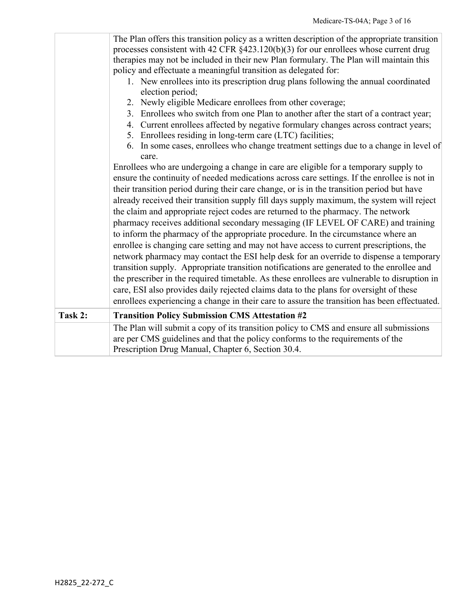|         | The Plan offers this transition policy as a written description of the appropriate transition<br>processes consistent with 42 CFR $§$ 423.120(b)(3) for our enrollees whose current drug<br>therapies may not be included in their new Plan formulary. The Plan will maintain this<br>policy and effectuate a meaningful transition as delegated for:<br>1. New enrollees into its prescription drug plans following the annual coordinated<br>election period;<br>2. Newly eligible Medicare enrollees from other coverage;<br>3. Enrollees who switch from one Plan to another after the start of a contract year;<br>4. Current enrollees affected by negative formulary changes across contract years;<br>5. Enrollees residing in long-term care (LTC) facilities;<br>6. In some cases, enrollees who change treatment settings due to a change in level of<br>care.<br>Enrollees who are undergoing a change in care are eligible for a temporary supply to<br>ensure the continuity of needed medications across care settings. If the enrollee is not in<br>their transition period during their care change, or is in the transition period but have<br>already received their transition supply fill days supply maximum, the system will reject<br>the claim and appropriate reject codes are returned to the pharmacy. The network<br>pharmacy receives additional secondary messaging (IF LEVEL OF CARE) and training<br>to inform the pharmacy of the appropriate procedure. In the circumstance where an<br>enrollee is changing care setting and may not have access to current prescriptions, the<br>network pharmacy may contact the ESI help desk for an override to dispense a temporary<br>transition supply. Appropriate transition notifications are generated to the enrollee and<br>the prescriber in the required timetable. As these enrollees are vulnerable to disruption in<br>care, ESI also provides daily rejected claims data to the plans for oversight of these |
|---------|-----------------------------------------------------------------------------------------------------------------------------------------------------------------------------------------------------------------------------------------------------------------------------------------------------------------------------------------------------------------------------------------------------------------------------------------------------------------------------------------------------------------------------------------------------------------------------------------------------------------------------------------------------------------------------------------------------------------------------------------------------------------------------------------------------------------------------------------------------------------------------------------------------------------------------------------------------------------------------------------------------------------------------------------------------------------------------------------------------------------------------------------------------------------------------------------------------------------------------------------------------------------------------------------------------------------------------------------------------------------------------------------------------------------------------------------------------------------------------------------------------------------------------------------------------------------------------------------------------------------------------------------------------------------------------------------------------------------------------------------------------------------------------------------------------------------------------------------------------------------------------------------------------------------------------------------------------------------------------------------------------|
|         | enrollees experiencing a change in their care to assure the transition has been effectuated.                                                                                                                                                                                                                                                                                                                                                                                                                                                                                                                                                                                                                                                                                                                                                                                                                                                                                                                                                                                                                                                                                                                                                                                                                                                                                                                                                                                                                                                                                                                                                                                                                                                                                                                                                                                                                                                                                                        |
| Task 2: | <b>Transition Policy Submission CMS Attestation #2</b>                                                                                                                                                                                                                                                                                                                                                                                                                                                                                                                                                                                                                                                                                                                                                                                                                                                                                                                                                                                                                                                                                                                                                                                                                                                                                                                                                                                                                                                                                                                                                                                                                                                                                                                                                                                                                                                                                                                                              |
|         | The Plan will submit a copy of its transition policy to CMS and ensure all submissions<br>are per CMS guidelines and that the policy conforms to the requirements of the<br>Prescription Drug Manual, Chapter 6, Section 30.4.                                                                                                                                                                                                                                                                                                                                                                                                                                                                                                                                                                                                                                                                                                                                                                                                                                                                                                                                                                                                                                                                                                                                                                                                                                                                                                                                                                                                                                                                                                                                                                                                                                                                                                                                                                      |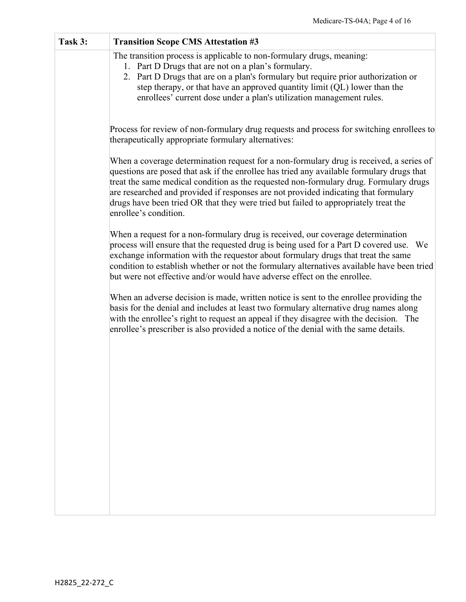| Task 3: | <b>Transition Scope CMS Attestation #3</b>                                                                                                                                                                                                                                                                                                                                                                                                                                           |
|---------|--------------------------------------------------------------------------------------------------------------------------------------------------------------------------------------------------------------------------------------------------------------------------------------------------------------------------------------------------------------------------------------------------------------------------------------------------------------------------------------|
|         | The transition process is applicable to non-formulary drugs, meaning:<br>1. Part D Drugs that are not on a plan's formulary.<br>2. Part D Drugs that are on a plan's formulary but require prior authorization or<br>step therapy, or that have an approved quantity limit (QL) lower than the<br>enrollees' current dose under a plan's utilization management rules.                                                                                                               |
|         | Process for review of non-formulary drug requests and process for switching enrollees to<br>therapeutically appropriate formulary alternatives:                                                                                                                                                                                                                                                                                                                                      |
|         | When a coverage determination request for a non-formulary drug is received, a series of<br>questions are posed that ask if the enrollee has tried any available formulary drugs that<br>treat the same medical condition as the requested non-formulary drug. Formulary drugs<br>are researched and provided if responses are not provided indicating that formulary<br>drugs have been tried OR that they were tried but failed to appropriately treat the<br>enrollee's condition. |
|         | When a request for a non-formulary drug is received, our coverage determination<br>process will ensure that the requested drug is being used for a Part D covered use. We<br>exchange information with the requestor about formulary drugs that treat the same<br>condition to establish whether or not the formulary alternatives available have been tried<br>but were not effective and/or would have adverse effect on the enrollee.                                             |
|         | When an adverse decision is made, written notice is sent to the enrollee providing the<br>basis for the denial and includes at least two formulary alternative drug names along<br>with the enrollee's right to request an appeal if they disagree with the decision. The<br>enrollee's prescriber is also provided a notice of the denial with the same details.                                                                                                                    |
|         |                                                                                                                                                                                                                                                                                                                                                                                                                                                                                      |
|         |                                                                                                                                                                                                                                                                                                                                                                                                                                                                                      |
|         |                                                                                                                                                                                                                                                                                                                                                                                                                                                                                      |
|         |                                                                                                                                                                                                                                                                                                                                                                                                                                                                                      |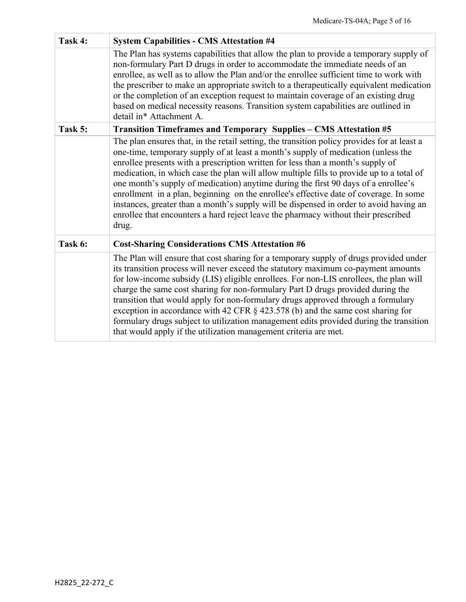| Task 4: | <b>System Capabilities - CMS Attestation #4</b>                                                                                                                                                                                                                                                                                                                                                                                                                                                                                                                                                                                                                                                                                         |
|---------|-----------------------------------------------------------------------------------------------------------------------------------------------------------------------------------------------------------------------------------------------------------------------------------------------------------------------------------------------------------------------------------------------------------------------------------------------------------------------------------------------------------------------------------------------------------------------------------------------------------------------------------------------------------------------------------------------------------------------------------------|
|         | The Plan has systems capabilities that allow the plan to provide a temporary supply of<br>non-formulary Part D drugs in order to accommodate the immediate needs of an<br>enrollee, as well as to allow the Plan and/or the enrollee sufficient time to work with<br>the prescriber to make an appropriate switch to a therapeutically equivalent medication<br>or the completion of an exception request to maintain coverage of an existing drug<br>based on medical necessity reasons. Transition system capabilities are outlined in<br>detail in* Attachment A.                                                                                                                                                                    |
| Task 5: | Transition Timeframes and Temporary Supplies - CMS Attestation #5                                                                                                                                                                                                                                                                                                                                                                                                                                                                                                                                                                                                                                                                       |
|         | The plan ensures that, in the retail setting, the transition policy provides for at least a<br>one-time, temporary supply of at least a month's supply of medication (unless the<br>enrollee presents with a prescription written for less than a month's supply of<br>medication, in which case the plan will allow multiple fills to provide up to a total of<br>one month's supply of medication) anytime during the first 90 days of a enrollee's<br>enrollment in a plan, beginning on the enrollee's effective date of coverage. In some<br>instances, greater than a month's supply will be dispensed in order to avoid having an<br>enrollee that encounters a hard reject leave the pharmacy without their prescribed<br>drug. |
| Task 6: | <b>Cost-Sharing Considerations CMS Attestation #6</b>                                                                                                                                                                                                                                                                                                                                                                                                                                                                                                                                                                                                                                                                                   |
|         | The Plan will ensure that cost sharing for a temporary supply of drugs provided under<br>its transition process will never exceed the statutory maximum co-payment amounts<br>for low-income subsidy (LIS) eligible enrollees. For non-LIS enrollees, the plan will<br>charge the same cost sharing for non-formulary Part D drugs provided during the<br>transition that would apply for non-formulary drugs approved through a formulary<br>exception in accordance with 42 CFR $\S$ 423.578 (b) and the same cost sharing for<br>formulary drugs subject to utilization management edits provided during the transition<br>that would apply if the utilization management criteria are met.                                          |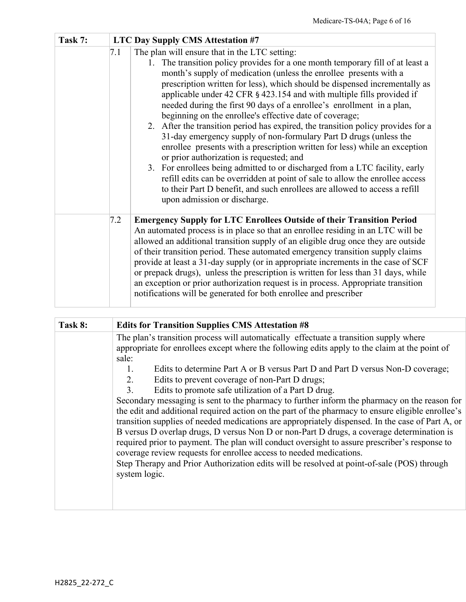| Task 7: |     | <b>LTC Day Supply CMS Attestation #7</b>                                                                                                                                                                                                                                                                                                                                                                                                                                                                                                                                                                                                                                                                                                                                                                                                                                                                                                                                                                                                                           |
|---------|-----|--------------------------------------------------------------------------------------------------------------------------------------------------------------------------------------------------------------------------------------------------------------------------------------------------------------------------------------------------------------------------------------------------------------------------------------------------------------------------------------------------------------------------------------------------------------------------------------------------------------------------------------------------------------------------------------------------------------------------------------------------------------------------------------------------------------------------------------------------------------------------------------------------------------------------------------------------------------------------------------------------------------------------------------------------------------------|
|         | 7.1 | The plan will ensure that in the LTC setting:<br>The transition policy provides for a one month temporary fill of at least a<br>1.<br>month's supply of medication (unless the enrollee presents with a<br>prescription written for less), which should be dispensed incrementally as<br>applicable under 42 CFR § 423.154 and with multiple fills provided if<br>needed during the first 90 days of a enrollee's enrollment in a plan,<br>beginning on the enrollee's effective date of coverage;<br>2. After the transition period has expired, the transition policy provides for a<br>31-day emergency supply of non-formulary Part D drugs (unless the<br>enrollee presents with a prescription written for less) while an exception<br>or prior authorization is requested; and<br>3. For enrollees being admitted to or discharged from a LTC facility, early<br>refill edits can be overridden at point of sale to allow the enrollee access<br>to their Part D benefit, and such enrollees are allowed to access a refill<br>upon admission or discharge. |
|         | 7.2 | <b>Emergency Supply for LTC Enrollees Outside of their Transition Period</b><br>An automated process is in place so that an enrollee residing in an LTC will be<br>allowed an additional transition supply of an eligible drug once they are outside<br>of their transition period. These automated emergency transition supply claims<br>provide at least a 31-day supply (or in appropriate increments in the case of SCF<br>or prepack drugs), unless the prescription is written for less than 31 days, while<br>an exception or prior authorization request is in process. Appropriate transition<br>notifications will be generated for both enrollee and prescriber                                                                                                                                                                                                                                                                                                                                                                                         |

| Task 8: | <b>Edits for Transition Supplies CMS Attestation #8</b>                                                                                                                                                                                                                                                                                                                                                                                                                                  |
|---------|------------------------------------------------------------------------------------------------------------------------------------------------------------------------------------------------------------------------------------------------------------------------------------------------------------------------------------------------------------------------------------------------------------------------------------------------------------------------------------------|
|         | The plan's transition process will automatically effectuate a transition supply where<br>appropriate for enrollees except where the following edits apply to the claim at the point of<br>sale:                                                                                                                                                                                                                                                                                          |
|         | Edits to determine Part A or B versus Part D and Part D versus Non-D coverage;<br>Edits to prevent coverage of non-Part D drugs;<br>2.                                                                                                                                                                                                                                                                                                                                                   |
|         | Edits to promote safe utilization of a Part D drug.<br>$\mathcal{F}_{\mathcal{L}}$<br>Secondary messaging is sent to the pharmacy to further inform the pharmacy on the reason for<br>the edit and additional required action on the part of the pharmacy to ensure eligible enrollee's<br>transition supplies of needed medications are appropriately dispensed. In the case of Part A, or<br>B versus D overlap drugs, D versus Non D or non-Part D drugs, a coverage determination is |
|         | required prior to payment. The plan will conduct oversight to assure prescriber's response to<br>coverage review requests for enrollee access to needed medications.<br>Step Therapy and Prior Authorization edits will be resolved at point-of-sale (POS) through<br>system logic.                                                                                                                                                                                                      |
|         |                                                                                                                                                                                                                                                                                                                                                                                                                                                                                          |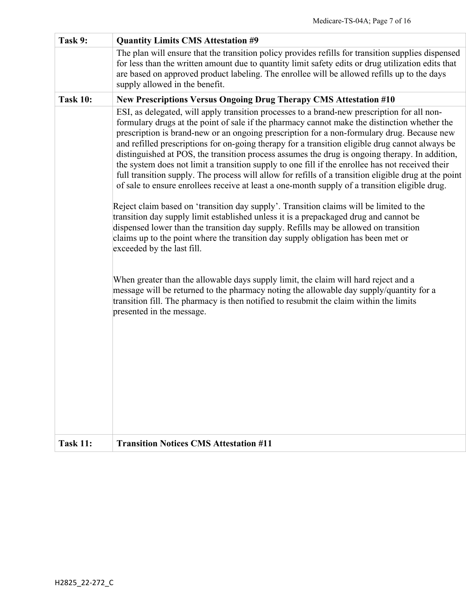| Task 9:         | <b>Quantity Limits CMS Attestation #9</b>                                                                                                                                                                                                                                                                                                                                                                                                                                                                                                                                                                                                                                                                                                                                                                                                                                                                                                                                                                                                                                                                                                                                                                                                                                                           |
|-----------------|-----------------------------------------------------------------------------------------------------------------------------------------------------------------------------------------------------------------------------------------------------------------------------------------------------------------------------------------------------------------------------------------------------------------------------------------------------------------------------------------------------------------------------------------------------------------------------------------------------------------------------------------------------------------------------------------------------------------------------------------------------------------------------------------------------------------------------------------------------------------------------------------------------------------------------------------------------------------------------------------------------------------------------------------------------------------------------------------------------------------------------------------------------------------------------------------------------------------------------------------------------------------------------------------------------|
|                 | The plan will ensure that the transition policy provides refills for transition supplies dispensed<br>for less than the written amount due to quantity limit safety edits or drug utilization edits that<br>are based on approved product labeling. The enrollee will be allowed refills up to the days<br>supply allowed in the benefit.                                                                                                                                                                                                                                                                                                                                                                                                                                                                                                                                                                                                                                                                                                                                                                                                                                                                                                                                                           |
| <b>Task 10:</b> | <b>New Prescriptions Versus Ongoing Drug Therapy CMS Attestation #10</b>                                                                                                                                                                                                                                                                                                                                                                                                                                                                                                                                                                                                                                                                                                                                                                                                                                                                                                                                                                                                                                                                                                                                                                                                                            |
|                 | ESI, as delegated, will apply transition processes to a brand-new prescription for all non-<br>formulary drugs at the point of sale if the pharmacy cannot make the distinction whether the<br>prescription is brand-new or an ongoing prescription for a non-formulary drug. Because new<br>and refilled prescriptions for on-going therapy for a transition eligible drug cannot always be<br>distinguished at POS, the transition process assumes the drug is ongoing therapy. In addition,<br>the system does not limit a transition supply to one fill if the enrollee has not received their<br>full transition supply. The process will allow for refills of a transition eligible drug at the point<br>of sale to ensure enrollees receive at least a one-month supply of a transition eligible drug.<br>Reject claim based on 'transition day supply'. Transition claims will be limited to the<br>transition day supply limit established unless it is a prepackaged drug and cannot be<br>dispensed lower than the transition day supply. Refills may be allowed on transition<br>claims up to the point where the transition day supply obligation has been met or<br>exceeded by the last fill.<br>When greater than the allowable days supply limit, the claim will hard reject and a |
|                 | message will be returned to the pharmacy noting the allowable day supply/quantity for a<br>transition fill. The pharmacy is then notified to resubmit the claim within the limits<br>presented in the message.                                                                                                                                                                                                                                                                                                                                                                                                                                                                                                                                                                                                                                                                                                                                                                                                                                                                                                                                                                                                                                                                                      |
| <b>Task 11:</b> | <b>Transition Notices CMS Attestation #11</b>                                                                                                                                                                                                                                                                                                                                                                                                                                                                                                                                                                                                                                                                                                                                                                                                                                                                                                                                                                                                                                                                                                                                                                                                                                                       |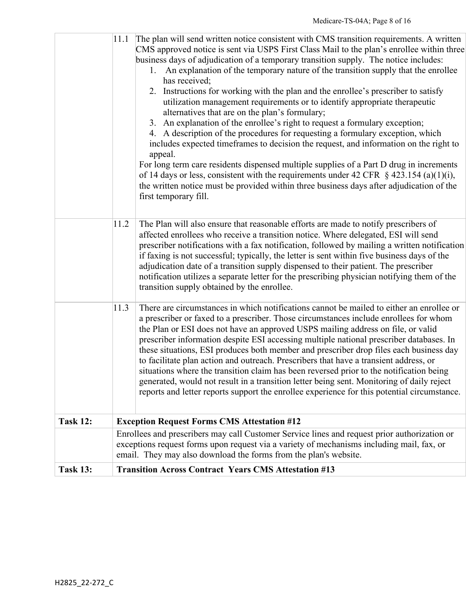| <b>Task 13:</b> |      | <b>Transition Across Contract Years CMS Attestation #13</b>                                                                                                                                                                                                                                                                                                                                                                                                                                                                                                                                                                                                                                                                                                                                                                                                                                                                                                                                                                                                                                                                                                                                    |
|-----------------|------|------------------------------------------------------------------------------------------------------------------------------------------------------------------------------------------------------------------------------------------------------------------------------------------------------------------------------------------------------------------------------------------------------------------------------------------------------------------------------------------------------------------------------------------------------------------------------------------------------------------------------------------------------------------------------------------------------------------------------------------------------------------------------------------------------------------------------------------------------------------------------------------------------------------------------------------------------------------------------------------------------------------------------------------------------------------------------------------------------------------------------------------------------------------------------------------------|
|                 |      | Enrollees and prescribers may call Customer Service lines and request prior authorization or<br>exceptions request forms upon request via a variety of mechanisms including mail, fax, or<br>email. They may also download the forms from the plan's website.                                                                                                                                                                                                                                                                                                                                                                                                                                                                                                                                                                                                                                                                                                                                                                                                                                                                                                                                  |
| <b>Task 12:</b> |      | <b>Exception Request Forms CMS Attestation #12</b>                                                                                                                                                                                                                                                                                                                                                                                                                                                                                                                                                                                                                                                                                                                                                                                                                                                                                                                                                                                                                                                                                                                                             |
|                 | 11.3 | There are circumstances in which notifications cannot be mailed to either an enrollee or<br>a prescriber or faxed to a prescriber. Those circumstances include enrollees for whom<br>the Plan or ESI does not have an approved USPS mailing address on file, or valid<br>prescriber information despite ESI accessing multiple national prescriber databases. In<br>these situations, ESI produces both member and prescriber drop files each business day<br>to facilitate plan action and outreach. Prescribers that have a transient address, or<br>situations where the transition claim has been reversed prior to the notification being<br>generated, would not result in a transition letter being sent. Monitoring of daily reject<br>reports and letter reports support the enrollee experience for this potential circumstance.                                                                                                                                                                                                                                                                                                                                                     |
|                 | 11.2 | The Plan will also ensure that reasonable efforts are made to notify prescribers of<br>affected enrollees who receive a transition notice. Where delegated, ESI will send<br>prescriber notifications with a fax notification, followed by mailing a written notification<br>if faxing is not successful; typically, the letter is sent within five business days of the<br>adjudication date of a transition supply dispensed to their patient. The prescriber<br>notification utilizes a separate letter for the prescribing physician notifying them of the<br>transition supply obtained by the enrollee.                                                                                                                                                                                                                                                                                                                                                                                                                                                                                                                                                                                  |
|                 | 11.1 | The plan will send written notice consistent with CMS transition requirements. A written<br>CMS approved notice is sent via USPS First Class Mail to the plan's enrollee within three<br>business days of adjudication of a temporary transition supply. The notice includes:<br>1. An explanation of the temporary nature of the transition supply that the enrollee<br>has received;<br>2. Instructions for working with the plan and the enrollee's prescriber to satisfy<br>utilization management requirements or to identify appropriate therapeutic<br>alternatives that are on the plan's formulary;<br>3. An explanation of the enrollee's right to request a formulary exception;<br>4. A description of the procedures for requesting a formulary exception, which<br>includes expected timeframes to decision the request, and information on the right to<br>appeal.<br>For long term care residents dispensed multiple supplies of a Part D drug in increments<br>of 14 days or less, consistent with the requirements under 42 CFR $\S$ 423.154 (a)(1)(i),<br>the written notice must be provided within three business days after adjudication of the<br>first temporary fill. |
|                 |      |                                                                                                                                                                                                                                                                                                                                                                                                                                                                                                                                                                                                                                                                                                                                                                                                                                                                                                                                                                                                                                                                                                                                                                                                |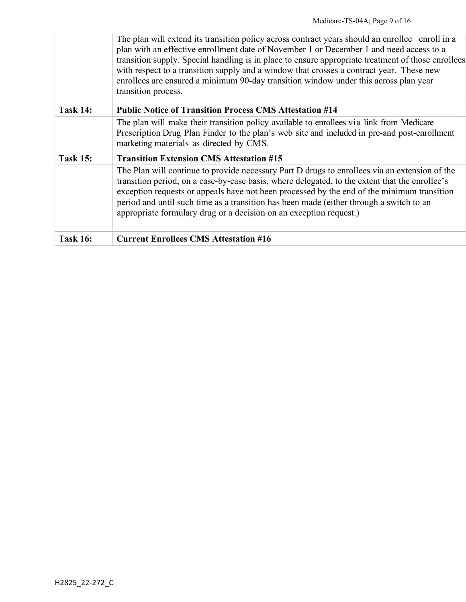|                 | The plan will extend its transition policy across contract years should an enrollee enroll in a<br>plan with an effective enrollment date of November 1 or December 1 and need access to a<br>transition supply. Special handling is in place to ensure appropriate treatment of those enrollees<br>with respect to a transition supply and a window that crosses a contract year. These new<br>enrollees are ensured a minimum 90-day transition window under this across plan year |
|-----------------|--------------------------------------------------------------------------------------------------------------------------------------------------------------------------------------------------------------------------------------------------------------------------------------------------------------------------------------------------------------------------------------------------------------------------------------------------------------------------------------|
|                 | transition process.                                                                                                                                                                                                                                                                                                                                                                                                                                                                  |
| <b>Task 14:</b> | <b>Public Notice of Transition Process CMS Attestation #14</b>                                                                                                                                                                                                                                                                                                                                                                                                                       |
|                 | The plan will make their transition policy available to enrollees via link from Medicare<br>Prescription Drug Plan Finder to the plan's web site and included in pre-and post-enrollment<br>marketing materials as directed by CMS.                                                                                                                                                                                                                                                  |
| <b>Task 15:</b> | <b>Transition Extension CMS Attestation #15</b>                                                                                                                                                                                                                                                                                                                                                                                                                                      |
|                 | The Plan will continue to provide necessary Part D drugs to enrollees via an extension of the<br>transition period, on a case-by-case basis, where delegated, to the extent that the enrollee's<br>exception requests or appeals have not been processed by the end of the minimum transition<br>period and until such time as a transition has been made (either through a switch to an<br>appropriate formulary drug or a decision on an exception request.)                       |
| <b>Task 16:</b> | <b>Current Enrollees CMS Attestation #16</b>                                                                                                                                                                                                                                                                                                                                                                                                                                         |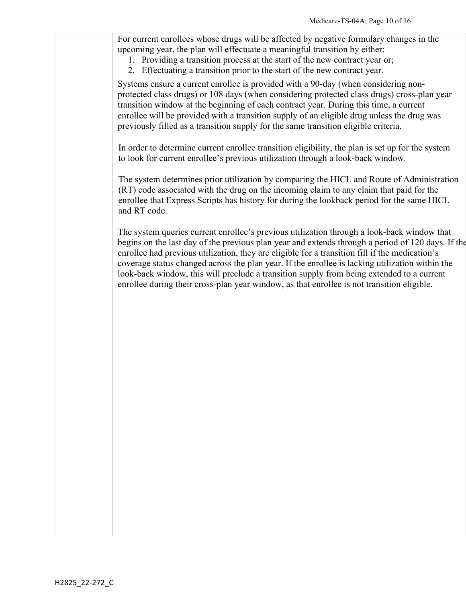For current enrollees whose drugs will be affected by negative formulary changes in the upcoming year, the plan will effectuate a meaningful transition by either:

- 1. Providing a transition process at the start of the new contract year or;
- 2. Effectuating a transition prior to the start of the new contract year.

Systems ensure a current enrollee is provided with a 90-day (when considering nonprotected class drugs) or 108 days (when considering protected class drugs) cross-plan year transition window at the beginning of each contract year. During this time, a current enrollee will be provided with a transition supply of an eligible drug unless the drug was previously filled as a transition supply for the same transition eligible criteria.

In order to determine current enrollee transition eligibility, the plan is set up for the system to look for current enrollee's previous utilization through a look-back window.

The system determines prior utilization by comparing the HICL and Route of Administration (RT) code associated with the drug on the incoming claim to any claim that paid for the enrollee that Express Scripts has history for during the lookback period for the same HICL and RT code.

The system queries current enrollee's previous utilization through a look-back window that begins on the last day of the previous plan year and extends through a period of 120 days. If the enrollee had previous utilization, they are eligible for a transition fill if the medication's coverage status changed across the plan year. If the enrollee is lacking utilization within the look-back window, this will preclude a transition supply from being extended to a current enrollee during their cross-plan year window, as that enrollee is not transition eligible.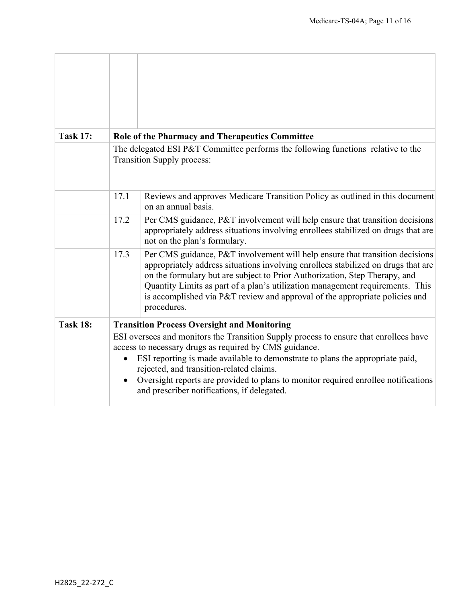| <b>Task 17:</b> | Role of the Pharmacy and Therapeutics Committee                                                                                                                                                                                                                                                                                                                                                                   |                                                                                                                                                                                                                                                                                                                                                                                                                                |  |
|-----------------|-------------------------------------------------------------------------------------------------------------------------------------------------------------------------------------------------------------------------------------------------------------------------------------------------------------------------------------------------------------------------------------------------------------------|--------------------------------------------------------------------------------------------------------------------------------------------------------------------------------------------------------------------------------------------------------------------------------------------------------------------------------------------------------------------------------------------------------------------------------|--|
|                 | The delegated ESI P&T Committee performs the following functions relative to the<br><b>Transition Supply process:</b>                                                                                                                                                                                                                                                                                             |                                                                                                                                                                                                                                                                                                                                                                                                                                |  |
|                 | 17.1                                                                                                                                                                                                                                                                                                                                                                                                              | Reviews and approves Medicare Transition Policy as outlined in this document<br>on an annual basis.                                                                                                                                                                                                                                                                                                                            |  |
|                 | 17.2                                                                                                                                                                                                                                                                                                                                                                                                              | Per CMS guidance, P&T involvement will help ensure that transition decisions<br>appropriately address situations involving enrollees stabilized on drugs that are<br>not on the plan's formulary.                                                                                                                                                                                                                              |  |
|                 | 17.3                                                                                                                                                                                                                                                                                                                                                                                                              | Per CMS guidance, P&T involvement will help ensure that transition decisions<br>appropriately address situations involving enrollees stabilized on drugs that are<br>on the formulary but are subject to Prior Authorization, Step Therapy, and<br>Quantity Limits as part of a plan's utilization management requirements. This<br>is accomplished via P&T review and approval of the appropriate policies and<br>procedures. |  |
| <b>Task 18:</b> |                                                                                                                                                                                                                                                                                                                                                                                                                   | <b>Transition Process Oversight and Monitoring</b>                                                                                                                                                                                                                                                                                                                                                                             |  |
|                 | ESI oversees and monitors the Transition Supply process to ensure that enrollees have<br>access to necessary drugs as required by CMS guidance.<br>ESI reporting is made available to demonstrate to plans the appropriate paid,<br>rejected, and transition-related claims.<br>Oversight reports are provided to plans to monitor required enrollee notifications<br>and prescriber notifications, if delegated. |                                                                                                                                                                                                                                                                                                                                                                                                                                |  |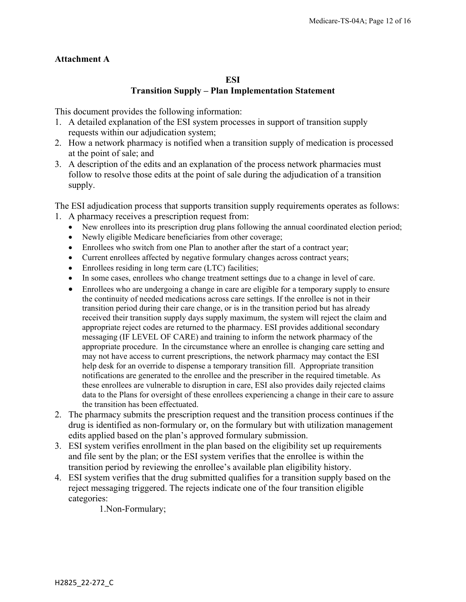#### **Attachment A**

#### **ESI Transition Supply – Plan Implementation Statement**

This document provides the following information:

- 1. A detailed explanation of the ESI system processes in support of transition supply requests within our adjudication system;
- 2. How a network pharmacy is notified when a transition supply of medication is processed at the point of sale; and
- 3. A description of the edits and an explanation of the process network pharmacies must follow to resolve those edits at the point of sale during the adjudication of a transition supply.

The ESI adjudication process that supports transition supply requirements operates as follows:

- 1. A pharmacy receives a prescription request from:
	- New enrollees into its prescription drug plans following the annual coordinated election period;
	- Newly eligible Medicare beneficiaries from other coverage;
	- Enrollees who switch from one Plan to another after the start of a contract year;
	- Current enrollees affected by negative formulary changes across contract years;
	- Enrollees residing in long term care (LTC) facilities;
	- In some cases, enrollees who change treatment settings due to a change in level of care.
	- Enrollees who are undergoing a change in care are eligible for a temporary supply to ensure the continuity of needed medications across care settings. If the enrollee is not in their transition period during their care change, or is in the transition period but has already received their transition supply days supply maximum, the system will reject the claim and appropriate reject codes are returned to the pharmacy. ESI provides additional secondary messaging (IF LEVEL OF CARE) and training to inform the network pharmacy of the appropriate procedure. In the circumstance where an enrollee is changing care setting and may not have access to current prescriptions, the network pharmacy may contact the ESI help desk for an override to dispense a temporary transition fill. Appropriate transition notifications are generated to the enrollee and the prescriber in the required timetable. As these enrollees are vulnerable to disruption in care, ESI also provides daily rejected claims data to the Plans for oversight of these enrollees experiencing a change in their care to assure the transition has been effectuated.
- 2. The pharmacy submits the prescription request and the transition process continues if the drug is identified as non-formulary or, on the formulary but with utilization management edits applied based on the plan's approved formulary submission.
- 3. ESI system verifies enrollment in the plan based on the eligibility set up requirements and file sent by the plan; or the ESI system verifies that the enrollee is within the transition period by reviewing the enrollee's available plan eligibility history.
- 4. ESI system verifies that the drug submitted qualifies for a transition supply based on the reject messaging triggered. The rejects indicate one of the four transition eligible categories:

1.Non-Formulary;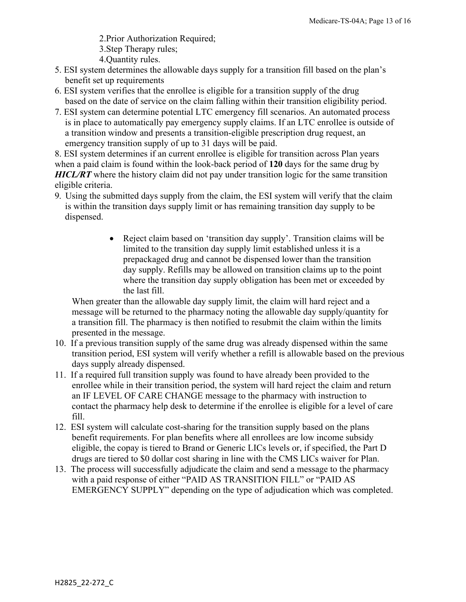2.Prior Authorization Required;

- 3.Step Therapy rules;
- 4.Quantity rules.
- 5. ESI system determines the allowable days supply for a transition fill based on the plan's benefit set up requirements
- 6. ESI system verifies that the enrollee is eligible for a transition supply of the drug based on the date of service on the claim falling within their transition eligibility period.
- 7. ESI system can determine potential LTC emergency fill scenarios. An automated process is in place to automatically pay emergency supply claims. If an LTC enrollee is outside of a transition window and presents a transition-eligible prescription drug request, an emergency transition supply of up to 31 days will be paid.

8. ESI system determines if an current enrollee is eligible for transition across Plan years when a paid claim is found within the look-back period of **120** days for the same drug by *HICL/RT* where the history claim did not pay under transition logic for the same transition eligible criteria.

- 9. Using the submitted days supply from the claim, the ESI system will verify that the claim is within the transition days supply limit or has remaining transition day supply to be dispensed.
	- Reject claim based on 'transition day supply'. Transition claims will be limited to the transition day supply limit established unless it is a prepackaged drug and cannot be dispensed lower than the transition day supply. Refills may be allowed on transition claims up to the point where the transition day supply obligation has been met or exceeded by the last fill.

When greater than the allowable day supply limit, the claim will hard reject and a message will be returned to the pharmacy noting the allowable day supply/quantity for a transition fill. The pharmacy is then notified to resubmit the claim within the limits presented in the message.

- 10. If a previous transition supply of the same drug was already dispensed within the same transition period, ESI system will verify whether a refill is allowable based on the previous days supply already dispensed.
- 11. If a required full transition supply was found to have already been provided to the enrollee while in their transition period, the system will hard reject the claim and return an IF LEVEL OF CARE CHANGE message to the pharmacy with instruction to contact the pharmacy help desk to determine if the enrollee is eligible for a level of care fill.
- 12. ESI system will calculate cost-sharing for the transition supply based on the plans benefit requirements. For plan benefits where all enrollees are low income subsidy eligible, the copay is tiered to Brand or Generic LICs levels or, if specified, the Part D drugs are tiered to \$0 dollar cost sharing in line with the CMS LICs waiver for Plan.
- 13. The process will successfully adjudicate the claim and send a message to the pharmacy with a paid response of either "PAID AS TRANSITION FILL" or "PAID AS EMERGENCY SUPPLY" depending on the type of adjudication which was completed.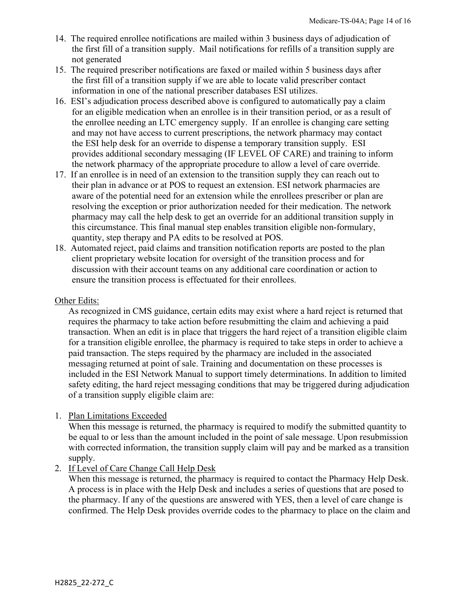- 14. The required enrollee notifications are mailed within 3 business days of adjudication of the first fill of a transition supply. Mail notifications for refills of a transition supply are not generated
- 15. The required prescriber notifications are faxed or mailed within 5 business days after the first fill of a transition supply if we are able to locate valid prescriber contact information in one of the national prescriber databases ESI utilizes.
- 16. ESI's adjudication process described above is configured to automatically pay a claim for an eligible medication when an enrollee is in their transition period, or as a result of the enrollee needing an LTC emergency supply. If an enrollee is changing care setting and may not have access to current prescriptions, the network pharmacy may contact the ESI help desk for an override to dispense a temporary transition supply. ESI provides additional secondary messaging (IF LEVEL OF CARE) and training to inform the network pharmacy of the appropriate procedure to allow a level of care override.
- 17. If an enrollee is in need of an extension to the transition supply they can reach out to their plan in advance or at POS to request an extension. ESI network pharmacies are aware of the potential need for an extension while the enrollees prescriber or plan are resolving the exception or prior authorization needed for their medication. The network pharmacy may call the help desk to get an override for an additional transition supply in this circumstance. This final manual step enables transition eligible non-formulary, quantity, step therapy and PA edits to be resolved at POS.
- 18. Automated reject, paid claims and transition notification reports are posted to the plan client proprietary website location for oversight of the transition process and for discussion with their account teams on any additional care coordination or action to ensure the transition process is effectuated for their enrollees.

#### Other Edits:

As recognized in CMS guidance, certain edits may exist where a hard reject is returned that requires the pharmacy to take action before resubmitting the claim and achieving a paid transaction. When an edit is in place that triggers the hard reject of a transition eligible claim for a transition eligible enrollee, the pharmacy is required to take steps in order to achieve a paid transaction. The steps required by the pharmacy are included in the associated messaging returned at point of sale. Training and documentation on these processes is included in the ESI Network Manual to support timely determinations. In addition to limited safety editing, the hard reject messaging conditions that may be triggered during adjudication of a transition supply eligible claim are:

#### 1. Plan Limitations Exceeded

When this message is returned, the pharmacy is required to modify the submitted quantity to be equal to or less than the amount included in the point of sale message. Upon resubmission with corrected information, the transition supply claim will pay and be marked as a transition supply.

#### 2. If Level of Care Change Call Help Desk

When this message is returned, the pharmacy is required to contact the Pharmacy Help Desk. A process is in place with the Help Desk and includes a series of questions that are posed to the pharmacy. If any of the questions are answered with YES, then a level of care change is confirmed. The Help Desk provides override codes to the pharmacy to place on the claim and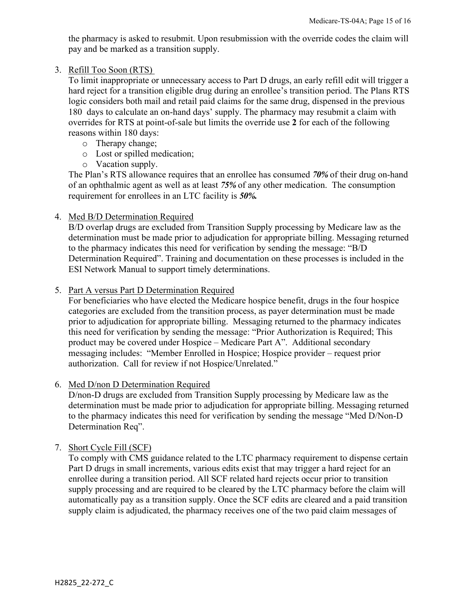the pharmacy is asked to resubmit. Upon resubmission with the override codes the claim will pay and be marked as a transition supply.

#### 3. Refill Too Soon (RTS)

To limit inappropriate or unnecessary access to Part D drugs, an early refill edit will trigger a hard reject for a transition eligible drug during an enrollee's transition period. The Plans RTS logic considers both mail and retail paid claims for the same drug, dispensed in the previous 180 days to calculate an on-hand days' supply. The pharmacy may resubmit a claim with overrides for RTS at point-of-sale but limits the override use **2** for each of the following reasons within 180 days:

- o Therapy change;
- o Lost or spilled medication;
- o Vacation supply.

The Plan's RTS allowance requires that an enrollee has consumed *70%* of their drug on-hand of an ophthalmic agent as well as at least *75%* of any other medication. The consumption requirement for enrollees in an LTC facility is *50%.*

4. Med B/D Determination Required

B/D overlap drugs are excluded from Transition Supply processing by Medicare law as the determination must be made prior to adjudication for appropriate billing. Messaging returned to the pharmacy indicates this need for verification by sending the message: "B/D Determination Required". Training and documentation on these processes is included in the ESI Network Manual to support timely determinations.

5. Part A versus Part D Determination Required

 For beneficiaries who have elected the Medicare hospice benefit, drugs in the four hospice categories are excluded from the transition process, as payer determination must be made prior to adjudication for appropriate billing. Messaging returned to the pharmacy indicates this need for verification by sending the message: "Prior Authorization is Required; This product may be covered under Hospice – Medicare Part A". Additional secondary messaging includes: "Member Enrolled in Hospice; Hospice provider – request prior authorization. Call for review if not Hospice/Unrelated."

### 6. Med D/non D Determination Required

D/non-D drugs are excluded from Transition Supply processing by Medicare law as the determination must be made prior to adjudication for appropriate billing. Messaging returned to the pharmacy indicates this need for verification by sending the message "Med D/Non-D Determination Req".

7. Short Cycle Fill (SCF)

To comply with CMS guidance related to the LTC pharmacy requirement to dispense certain Part D drugs in small increments, various edits exist that may trigger a hard reject for an enrollee during a transition period. All SCF related hard rejects occur prior to transition supply processing and are required to be cleared by the LTC pharmacy before the claim will automatically pay as a transition supply. Once the SCF edits are cleared and a paid transition supply claim is adjudicated, the pharmacy receives one of the two paid claim messages of